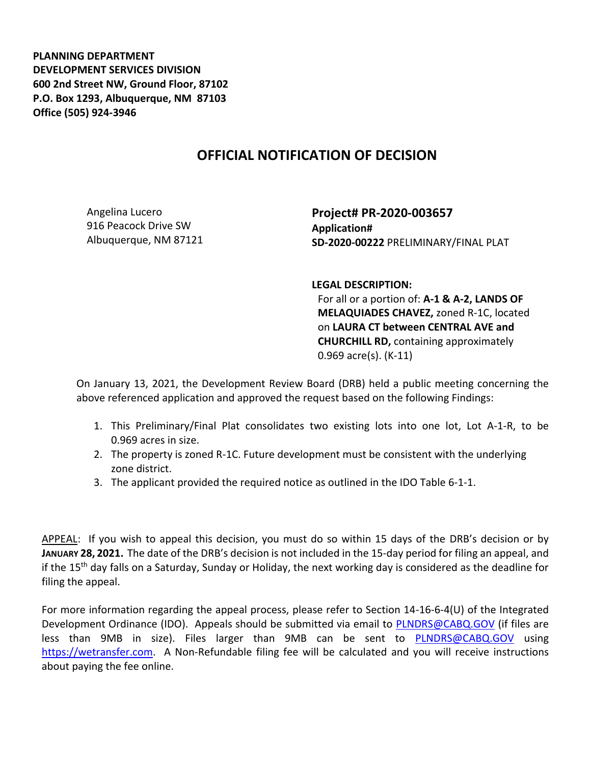**PLANNING DEPARTMENT DEVELOPMENT SERVICES DIVISION 600 2nd Street NW, Ground Floor, 87102 P.O. Box 1293, Albuquerque, NM 87103 Office (505) 924-3946** 

## **OFFICIAL NOTIFICATION OF DECISION**

Angelina Lucero 916 Peacock Drive SW Albuquerque, NM 87121 **Project# PR-2020-003657 Application# SD-2020-00222** PRELIMINARY/FINAL PLAT

**LEGAL DESCRIPTION:**

For all or a portion of: **A-1 & A-2, LANDS OF MELAQUIADES CHAVEZ,** zoned R-1C, located on **LAURA CT between CENTRAL AVE and CHURCHILL RD,** containing approximately 0.969 acre(s). (K-11)

On January 13, 2021, the Development Review Board (DRB) held a public meeting concerning the above referenced application and approved the request based on the following Findings:

- 1. This Preliminary/Final Plat consolidates two existing lots into one lot, Lot A-1-R, to be 0.969 acres in size.
- 2. The property is zoned R-1C. Future development must be consistent with the underlying zone district.
- 3. The applicant provided the required notice as outlined in the IDO Table 6-1-1.

APPEAL: If you wish to appeal this decision, you must do so within 15 days of the DRB's decision or by **JANUARY 28, 2021.** The date of the DRB's decision is not included in the 15-day period for filing an appeal, and if the 15<sup>th</sup> day falls on a Saturday, Sunday or Holiday, the next working day is considered as the deadline for filing the appeal.

For more information regarding the appeal process, please refer to Section 14-16-6-4(U) of the Integrated Development Ordinance (IDO). Appeals should be submitted via email to [PLNDRS@CABQ.GOV](mailto:PLNDRS@CABQ.GOV) (if files are less than 9MB in size). Files larger than 9MB can be sent to [PLNDRS@CABQ.GOV](mailto:PLNDRS@CABQ.GOV) using [https://wetransfer.com.](https://wetransfer.com/) A Non-Refundable filing fee will be calculated and you will receive instructions about paying the fee online.